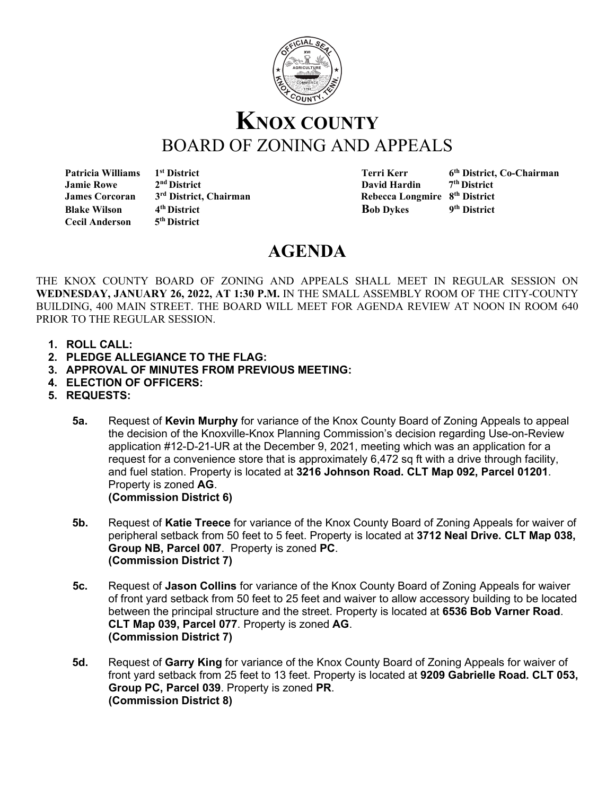

## **KNOX COUNTY** BOARD OF ZONING AND APPEALS<br>Patricia Williams 1st District Terri Kerr 6

**Cecil Anderson** 

1<sup>st</sup> District 1stricular 2<sup>nd</sup> District 1strict, Co-Chairman<br>
2<sup>nd</sup> District 2<sup>nd</sup> District 2nd District  **Jamie Rowe 2nd District David Hardin 7th District James Corcoran** 3<sup>rd</sup> District, Chairman Rebecca Longmire 8<sup>th</sup> District **Blake Wilson 4<sup>th</sup> District Bob Dykes** 9<sup>th</sup> District Cecil Anderson 5<sup>th</sup> District **Bob Dykes** 9<sup>th</sup> District

## **AGENDA**

THE KNOX COUNTY BOARD OF ZONING AND APPEALS SHALL MEET IN REGULAR SESSION ON **WEDNESDAY, JANUARY 26, 2022, AT 1:30 P.M.** IN THE SMALL ASSEMBLY ROOM OF THE CITY-COUNTY BUILDING, 400 MAIN STREET. THE BOARD WILL MEET FOR AGENDA REVIEW AT NOON IN ROOM 640 PRIOR TO THE REGULAR SESSION.

- **1. ROLL CALL:**
- **2. PLEDGE ALLEGIANCE TO THE FLAG:**
- **3. APPROVAL OF MINUTES FROM PREVIOUS MEETING:**
- **4. ELECTION OF OFFICERS:**
- **5. REQUESTS:**
	- **5a.** Request of **Kevin Murphy** for variance of the Knox County Board of Zoning Appeals to appeal the decision of the Knoxville-Knox Planning Commission's decision regarding Use-on-Review application #12-D-21-UR at the December 9, 2021, meeting which was an application for a request for a convenience store that is approximately 6,472 sq ft with a drive through facility, and fuel station. Property is located at **3216 Johnson Road. CLT Map 092, Parcel 01201**. Property is zoned **AG**. **(Commission District 6)**
	- **5b.** Request of **Katie Treece** for variance of the Knox County Board of Zoning Appeals for waiver of peripheral setback from 50 feet to 5 feet. Property is located at **3712 Neal Drive. CLT Map 038, Group NB, Parcel 007**. Property is zoned **PC**. **(Commission District 7)**
	- **5c.** Request of **Jason Collins** for variance of the Knox County Board of Zoning Appeals for waiver of front yard setback from 50 feet to 25 feet and waiver to allow accessory building to be located between the principal structure and the street. Property is located at **6536 Bob Varner Road**. **CLT Map 039, Parcel 077**. Property is zoned **AG**. **(Commission District 7)**
	- **5d.** Request of **Garry King** for variance of the Knox County Board of Zoning Appeals for waiver of front yard setback from 25 feet to 13 feet. Property is located at **9209 Gabrielle Road. CLT 053, Group PC, Parcel 039**. Property is zoned **PR**. **(Commission District 8)**